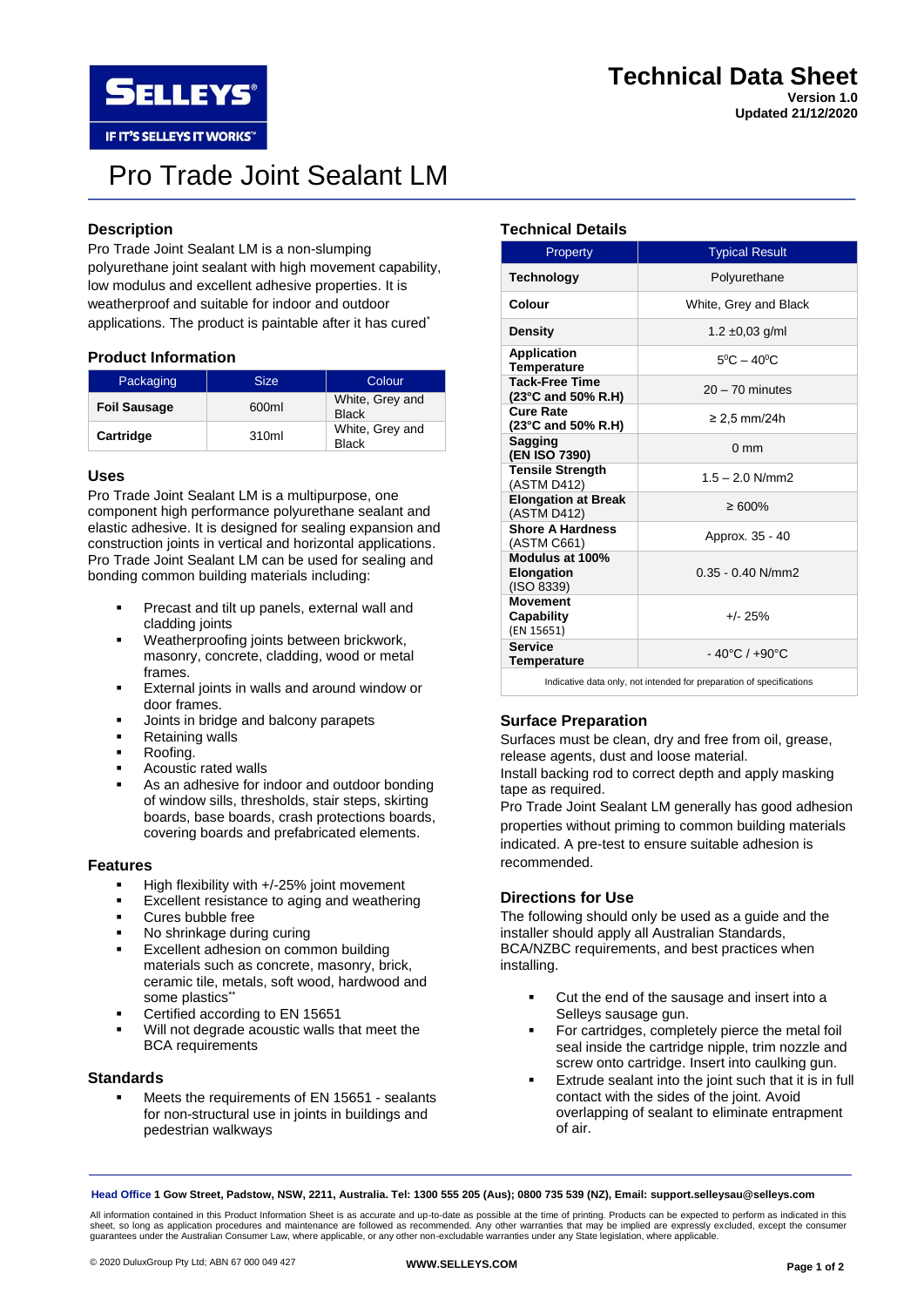**Updated 21/12/2020**

IF IT'S SELLEYS IT WORKS"

**SELLEYS** 

# Pro Trade Joint Sealant LM

# **Description**

Pro Trade Joint Sealant LM is a non-slumping polyurethane joint sealant with high movement capability, low modulus and excellent adhesive properties. It is weatherproof and suitable for indoor and outdoor applications. The product is paintable after it has cured<sup>\*</sup>

## **Product Information**

| Packaging           | <b>Size</b> | Colour                          |  |
|---------------------|-------------|---------------------------------|--|
| <b>Foil Sausage</b> | 600ml       | White, Grey and<br><b>Black</b> |  |
| Cartridge           | 310ml       | White, Grey and<br><b>Black</b> |  |

## **Uses**

Pro Trade Joint Sealant LM is a multipurpose, one component high performance polyurethane sealant and elastic adhesive. It is designed for sealing expansion and construction joints in vertical and horizontal applications. Pro Trade Joint Sealant LM can be used for sealing and bonding common building materials including:

- Precast and tilt up panels, external wall and cladding joints
- Weatherproofing joints between brickwork, masonry, concrete, cladding, wood or metal frames.
- External joints in walls and around window or door frames.
- Joints in bridge and balcony parapets
- **Retaining walls**
- Roofing.
- Acoustic rated walls
- As an adhesive for indoor and outdoor bonding of window sills, thresholds, stair steps, skirting boards, base boards, crash protections boards, covering boards and prefabricated elements.

#### **Features**

- High flexibility with  $+/-25%$  joint movement
- Excellent resistance to aging and weathering
- Cures bubble free
- No shrinkage during curing
- Excellent adhesion on common building materials such as concrete, masonry, brick, ceramic tile, metals, soft wood, hardwood and some plastics<sup>\*</sup>
- Certified according to EN 15651
- Will not degrade acoustic walls that meet the BCA requirements

## **Standards**

Meets the requirements of EN 15651 - sealants for non-structural use in joints in buildings and pedestrian walkways

# **Technical Details**

| Property                                           | <b>Typical Result</b>             |  |  |
|----------------------------------------------------|-----------------------------------|--|--|
| <b>Technology</b>                                  | Polyurethane                      |  |  |
| Colour                                             | White, Grey and Black             |  |  |
| Density                                            | 1.2 $\pm$ 0.03 g/ml               |  |  |
| <b>Application</b><br><b>Temperature</b>           | $5^0C - 40^0C$                    |  |  |
| <b>Tack-Free Time</b><br>(23°C and 50% R.H)        | $20 - 70$ minutes                 |  |  |
| Cure Rate<br>(23°C and 50% R.H)                    | ≥ 2,5 mm/24h                      |  |  |
| <b>Sagging</b><br>(EN ISO 7390)                    | $0 \text{ mm}$                    |  |  |
| <b>Tensile Strength</b><br>(ASTM D412)             | $1.5 - 2.0$ N/mm2                 |  |  |
| <b>Elongation at Break</b><br>(ASTM D412)          | $\geq 600\%$                      |  |  |
| <b>Shore A Hardness</b><br>(ASTM C661)             | Approx. 35 - 40                   |  |  |
| Modulus at 100%<br><b>Elongation</b><br>(ISO 8339) | $0.35 - 0.40$ N/mm2               |  |  |
| <b>Movement</b><br>Capability<br>(EN 15651)        | $+/- 25%$                         |  |  |
| <b>Service</b><br>Temperature                      | $-40^{\circ}$ C / $+90^{\circ}$ C |  |  |

Indicative data only, not intended for preparation of specifications

# **Surface Preparation**

Surfaces must be clean, dry and free from oil, grease, release agents, dust and loose material. Install backing rod to correct depth and apply masking

tape as required. Pro Trade Joint Sealant LM generally has good adhesion properties without priming to common building materials indicated. A pre-test to ensure suitable adhesion is recommended.

#### **Directions for Use**

The following should only be used as a guide and the installer should apply all Australian Standards, BCA/NZBC requirements, and best practices when installing.

- Cut the end of the sausage and insert into a Selleys sausage gun.
- For cartridges, completely pierce the metal foil seal inside the cartridge nipple, trim nozzle and screw onto cartridge. Insert into caulking gun.
- Extrude sealant into the joint such that it is in full contact with the sides of the joint. Avoid overlapping of sealant to eliminate entrapment of air.

**Head Office 1 Gow Street, Padstow, NSW, 2211, Australia. Tel: 1300 555 205 (Aus); 0800 735 539 (NZ), Email: support.selleysau@selleys.com**

All information contained in this Product Information Sheet is as accurate and up-to-date as possible at the time of printing. Products can be expected to perform as indicated in this sheet, so long as application procedures and maintenance are followed as recommended. Any other warranties that may be implied are expressly excluded, except the consumer<br>guarantees under the Australian Consumer Law, where